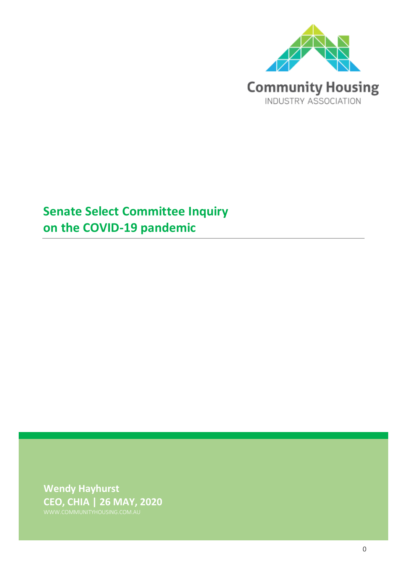

# **Senate Select Committee Inquiry on the COVID-19 pandemic**

**Wendy Hayhurst CEO, CHIA | 26 MAY, 2020**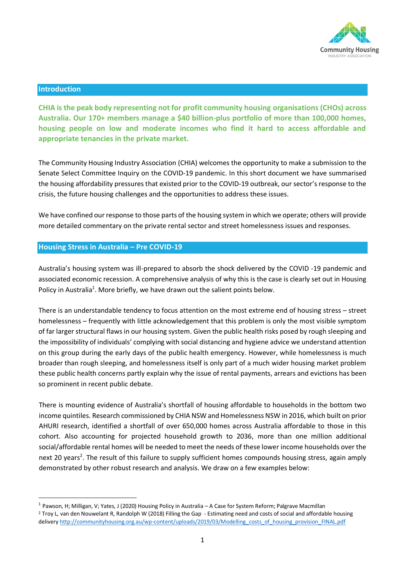

### **Introduction**

**CHIA is the peak body representing not for profit community housing organisations (CHOs) across Australia. Our 170+ members manage a \$40 billion-plus portfolio of more than 100,000 homes, housing people on low and moderate incomes who find it hard to access affordable and appropriate tenancies in the private market.** 

The Community Housing Industry Association (CHIA) welcomes the opportunity to make a submission to the Senate Select Committee Inquiry on the COVID-19 pandemic. In this short document we have summarised the housing affordability pressures that existed prior to the COVID-19 outbreak, our sector's response to the crisis, the future housing challenges and the opportunities to address these issues.

We have confined our response to those parts of the housing system in which we operate; others will provide more detailed commentary on the private rental sector and street homelessness issues and responses.

# **Housing Stress in Australia – Pre COVID-19**

Australia's housing system was ill-prepared to absorb the shock delivered by the COVID -19 pandemic and associated economic recession. A comprehensive analysis of why this is the case is clearly set out in Housing Policy in Australia<sup>1</sup>. More briefly, we have drawn out the salient points below.

There is an understandable tendency to focus attention on the most extreme end of housing stress – street homelessness – frequently with little acknowledgement that this problem is only the most visible symptom of far larger structural flaws in our housing system. Given the public health risks posed by rough sleeping and the impossibility of individuals' complying with social distancing and hygiene advice we understand attention on this group during the early days of the public health emergency. However, while homelessness is much broader than rough sleeping, and homelessness itself is only part of a much wider housing market problem these public health concerns partly explain why the issue of rental payments, arrears and evictions has been so prominent in recent public debate.

There is mounting evidence of Australia's shortfall of housing affordable to households in the bottom two income quintiles. Research commissioned by CHIA NSW and Homelessness NSW in 2016, which built on prior AHURI research, identified a shortfall of over 650,000 homes across Australia affordable to those in this cohort. Also accounting for projected household growth to 2036, more than one million additional social/affordable rental homes will be needed to meet the needs of these lower income households over the next 20 years<sup>2</sup>. The result of this failure to supply sufficient homes compounds housing stress, again amply demonstrated by other robust research and analysis. We draw on a few examples below:

<sup>&</sup>lt;sup>1</sup> Pawson, H; Milligan, V; Yates, J (2020) Housing Policy in Australia – A Case for System Reform; Palgrave Macmillan

<sup>2</sup> Troy L, van den Nouwelant R, Randolph W (2018) Filling the Gap - Estimating need and costs of social and affordable housing delivery http://communityhousing.org.au/wp-content/uploads/2019/03/Modelling\_costs\_of\_housing\_provision\_FINAL.pdf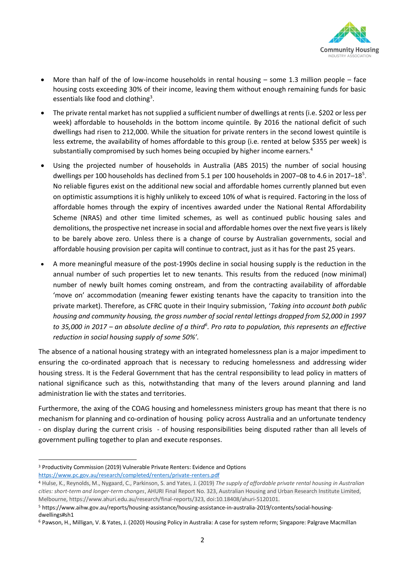

- More than half of the of low-income households in rental housing some 1.3 million people face housing costs exceeding 30% of their income, leaving them without enough remaining funds for basic essentials like food and clothing<sup>3</sup>.
- The private rental market has not supplied a sufficient number of dwellings at rents (i.e. \$202 or less per week) affordable to households in the bottom income quintile. By 2016 the national deficit of such dwellings had risen to 212,000. While the situation for private renters in the second lowest quintile is less extreme, the availability of homes affordable to this group (i.e. rented at below \$355 per week) is substantially compromised by such homes being occupied by higher income earners.<sup>4</sup>
- Using the projected number of households in Australia (ABS 2015) the number of social housing dwellings per 100 households has declined from 5.1 per 100 households in 2007-08 to 4.6 in 2017-18<sup>5</sup>. No reliable figures exist on the additional new social and affordable homes currently planned but even on optimistic assumptions it is highly unlikely to exceed 10% of what is required. Factoring in the loss of affordable homes through the expiry of incentives awarded under the National Rental Affordability Scheme (NRAS) and other time limited schemes, as well as continued public housing sales and demolitions, the prospective net increase in social and affordable homes over the next five yearsis likely to be barely above zero. Unless there is a change of course by Australian governments, social and affordable housing provision per capita will continue to contract, just as it has for the past 25 years.
- A more meaningful measure of the post-1990s decline in social housing supply is the reduction in the annual number of such properties let to new tenants. This results from the reduced (now minimal) number of newly built homes coming onstream, and from the contracting availability of affordable 'move on' accommodation (meaning fewer existing tenants have the capacity to transition into the private market). Therefore, as CFRC quote in their Inquiry submission, '*Taking into account both public housing and community housing, the gross number of social rental lettings dropped from 52,000 in 1997 to 35,000 in 2017 – an absolute decline of a third<sup>6</sup> . Pro rata to population, this represents an effective reduction in social housing supply of some 50%'.*

The absence of a national housing strategy with an integrated homelessness plan is a major impediment to ensuring the co-ordinated approach that is necessary to reducing homelessness and addressing wider housing stress. It is the Federal Government that has the central responsibility to lead policy in matters of national significance such as this, notwithstanding that many of the levers around planning and land administration lie with the states and territories.

Furthermore, the axing of the COAG housing and homelessness ministers group has meant that there is no mechanism for planning and co-ordination of housing policy across Australia and an unfortunate tendency - on display during the current crisis - of housing responsibilities being disputed rather than all levels of government pulling together to plan and execute responses.

<sup>3</sup> Productivity Commission (2019) Vulnerable Private Renters: Evidence and Options

<https://www.pc.gov.au/research/completed/renters/private-renters.pdf>

<sup>4</sup> Hulse, K., Reynolds, M., Nygaard, C., Parkinson, S. and Yates, J. (2019) *The supply of affordable private rental housing in Australian cities: short-term and longer-term changes*, AHURI Final Report No. 323, Australian Housing and Urban Research Institute Limited, Melbourne, https://www.ahuri.edu.au/research/final-reports/323, doi:10.18408/ahuri-5120101.

<sup>5</sup> https://www.aihw.gov.au/reports/housing-assistance/housing-assistance-in-australia-2019/contents/social-housingdwellings#sh1

<sup>6</sup> Pawson, H., Milligan, V. & Yates, J. (2020) Housing Policy in Australia: A case for system reform; Singapore: Palgrave Macmillan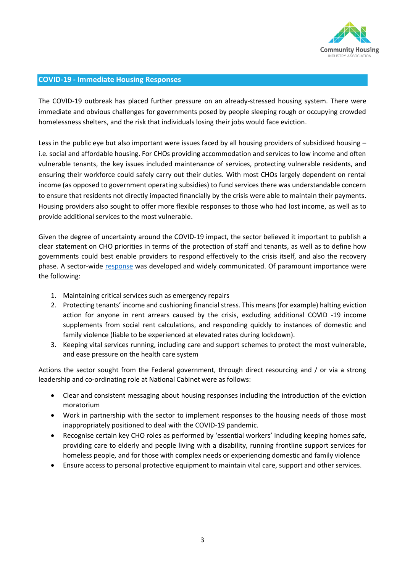

# **COVID-19 - Immediate Housing Responses**

The COVID-19 outbreak has placed further pressure on an already-stressed housing system. There were immediate and obvious challenges for governments posed by people sleeping rough or occupying crowded homelessness shelters, and the risk that individuals losing their jobs would face eviction.

Less in the public eye but also important were issues faced by all housing providers of subsidized housing – i.e. social and affordable housing. For CHOs providing accommodation and services to low income and often vulnerable tenants, the key issues included maintenance of services, protecting vulnerable residents, and ensuring their workforce could safely carry out their duties. With most CHOs largely dependent on rental income (as opposed to government operating subsidies) to fund services there was understandable concern to ensure that residents not directly impacted financially by the crisis were able to maintain their payments. Housing providers also sought to offer more flexible responses to those who had lost income, as well as to provide additional services to the most vulnerable.

Given the degree of uncertainty around the COVID-19 impact, the sector believed it important to publish a clear statement on CHO priorities in terms of the protection of staff and tenants, as well as to define how governments could best enable providers to respond effectively to the crisis itself, and also the recovery phase. A sector-wide [response](https://www.communityhousing.com.au/wp-content/uploads/2020/04/CHIA-statement-Covid-19.pdf?x59559) was developed and widely communicated. Of paramount importance were the following:

- 1. Maintaining critical services such as emergency repairs
- 2. Protecting tenants' income and cushioning financial stress. This means (for example) halting eviction action for anyone in rent arrears caused by the crisis, excluding additional COVID -19 income supplements from social rent calculations, and responding quickly to instances of domestic and family violence (liable to be experienced at elevated rates during lockdown).
- 3. Keeping vital services running, including care and support schemes to protect the most vulnerable, and ease pressure on the health care system

Actions the sector sought from the Federal government, through direct resourcing and / or via a strong leadership and co-ordinating role at National Cabinet were as follows:

- Clear and consistent messaging about housing responses including the introduction of the eviction moratorium
- Work in partnership with the sector to implement responses to the housing needs of those most inappropriately positioned to deal with the COVID-19 pandemic.
- Recognise certain key CHO roles as performed by 'essential workers' including keeping homes safe, providing care to elderly and people living with a disability, running frontline support services for homeless people, and for those with complex needs or experiencing domestic and family violence
- Ensure access to personal protective equipment to maintain vital care, support and other services.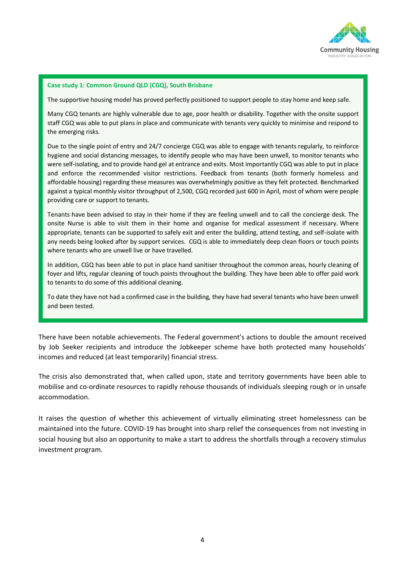

#### **Case study 1: Common Ground QLD (CGQ), South Brisbane**

The supportive housing model has proved perfectly positioned to support people to stay home and keep safe.

Many CGQ tenants are highly vulnerable due to age, poor health or disability. Together with the onsite support staff CGQ was able to put plans in place and communicate with tenants very quickly to minimise and respond to the emerging risks.

Due to the single point of entry and 24/7 concierge CGQ was able to engage with tenants regularly, to reinforce hygiene and social distancing messages, to identify people who may have been unwell, to monitor tenants who were self-isolating, and to provide hand gel at entrance and exits. Most importantly CGQ was able to put in place and enforce the recommended visitor restrictions. Feedback from tenants (both formerly homeless and affordable housing) regarding these measures was overwhelmingly positive as they felt protected. Benchmarked against a typical monthly visitor throughput of 2,500, CGQ recorded just 600 in April, most of whom were people providing care or support to tenants.

Tenants have been advised to stay in their home if they are feeling unwell and to call the concierge desk. The onsite Nurse is able to visit them in their home and organise for medical assessment if necessary. Where appropriate, tenants can be supported to safely exit and enter the building, attend testing, and self-isolate with any needs being looked after by support services. CGQ is able to immediately deep clean floors or touch points where tenants who are unwell live or have travelled.

In addition, CGQ has been able to put in place hand sanitiser throughout the common areas, hourly cleaning of foyer and lifts, regular cleaning of touch points throughout the building. They have been able to offer paid work to tenants to do some of this additional cleaning.

To date they have not had a confirmed case in the building, they have had several tenants who have been unwell and been tested.

There have been notable achievements. The Federal government's actions to double the amount received by Job Seeker recipients and introduce the Jobkeeper scheme have both protected many households' incomes and reduced (at least temporarily) financial stress.

The crisis also demonstrated that, when called upon, state and territory governments have been able to mobilise and co-ordinate resources to rapidly rehouse thousands of individuals sleeping rough or in unsafe accommodation.

It raises the question of whether this achievement of virtually eliminating street homelessness can be maintained into the future. COVID-19 has brought into sharp relief the consequences from not investing in social housing but also an opportunity to make a start to address the shortfalls through a recovery stimulus investment program.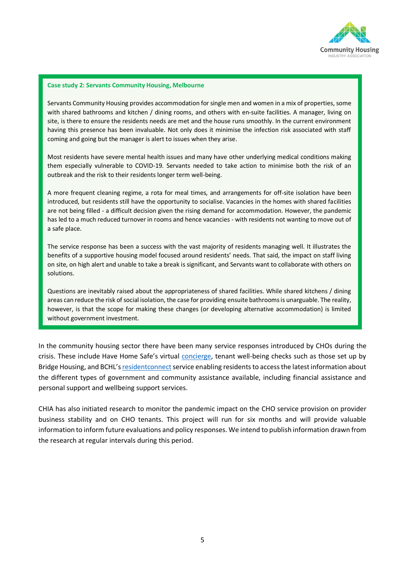

#### **Case study 2: Servants Community Housing, Melbourne**

Servants Community Housing provides accommodation for single men and women in a mix of properties, some with shared bathrooms and kitchen / dining rooms, and others with en-suite facilities. A manager, living on site, is there to ensure the residents needs are met and the house runs smoothly. In the current environment having this presence has been invaluable. Not only does it minimise the infection risk associated with staff coming and going but the manager is alert to issues when they arise.

Most residents have severe mental health issues and many have other underlying medical conditions making them especially vulnerable to COVID-19. Servants needed to take action to minimise both the risk of an outbreak and the risk to their residents longer term well-being.

A more frequent cleaning regime, a rota for meal times, and arrangements for off-site isolation have been introduced, but residents still have the opportunity to socialise. Vacancies in the homes with shared facilities are not being filled - a difficult decision given the rising demand for accommodation. However, the pandemic has led to a much reduced turnover in rooms and hence vacancies - with residents not wanting to move out of a safe place.

The service response has been a success with the vast majority of residents managing well. It illustrates the benefits of a supportive housing model focused around residents' needs. That said, the impact on staff living on site, on high alert and unable to take a break is significant, and Servants want to collaborate with others on solutions.

Questions are inevitably raised about the appropriateness of shared facilities. While shared kitchens / dining areas can reduce the risk of social isolation, the case for providing ensuite bathrooms is unarguable. The reality, however, is that the scope for making these changes (or developing alternative accommodation) is limited without government investment.

In the community housing sector there have been many service responses introduced by CHOs during the crisis. These include Have Home Safe's virtual [concierge,](https://www.youtube.com/watch?v=3hx_vFSf2_A) tenant well-being checks such as those set up by Bridge Housing, and BCHL's residentconnect service enabling residents to access the latest information about the different types of government and community assistance available, including financial assistance and personal support and wellbeing support services.

CHIA has also initiated research to monitor the pandemic impact on the CHO service provision on provider business stability and on CHO tenants. This project will run for six months and will provide valuable information to inform future evaluations and policy responses. We intend to publish information drawn from the research at regular intervals during this period.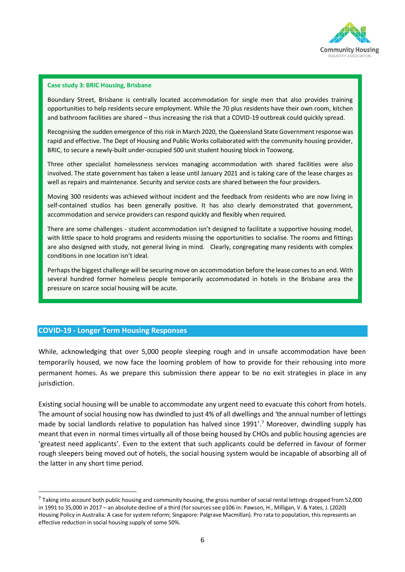

#### **Case study 3: BRIC Housing, Brisbane**

Boundary Street, Brisbane is centrally located accommodation for single men that also provides training opportunities to help residents secure employment. While the 70 plus residents have their own room, kitchen and bathroom facilities are shared – thus increasing the risk that a COVID-19 outbreak could quickly spread.

Recognising the sudden emergence of this risk in March 2020, the Queensland State Government response was rapid and effective. The Dept of Housing and Public Works collaborated with the community housing provider, BRIC, to secure a newly-built under-occupied 500 unit student housing block in Toowong.

Three other specialist homelessness services managing accommodation with shared facilities were also involved. The state government has taken a lease until January 2021 and is taking care of the lease charges as well as repairs and maintenance. Security and service costs are shared between the four providers.

Moving 300 residents was achieved without incident and the feedback from residents who are now living in self-contained studios has been generally positive. It has also clearly demonstrated that government, accommodation and service providers can respond quickly and flexibly when required.

There are some challenges - student accommodation isn't designed to facilitate a supportive housing model, with little space to hold programs and residents missing the opportunities to socialise. The rooms and fittings are also designed with study, not general living in mind. Clearly, congregating many residents with complex conditions in one location isn't ideal.

Perhaps the biggest challenge will be securing move on accommodation before the lease comes to an end. With several hundred former homeless people temporarily accommodated in hotels in the Brisbane area the pressure on scarce social housing will be acute.

## **COVID-19 - Longer Term Housing Responses**

While, acknowledging that over 5,000 people sleeping rough and in unsafe accommodation have been temporarily housed, we now face the looming problem of how to provide for their rehousing into more permanent homes. As we prepare this submission there appear to be no exit strategies in place in any jurisdiction.

Existing social housing will be unable to accommodate any urgent need to evacuate this cohort from hotels. The amount of social housing now has dwindled to just 4% of all dwellings and *'*the annual number of lettings made by social landlords relative to population has halved since 1991'. <sup>7</sup> Moreover, dwindling supply has meant that even in normal times virtually all of those being housed by CHOs and public housing agencies are 'greatest need applicants'. Even to the extent that such applicants could be deferred in favour of former rough sleepers being moved out of hotels, the social housing system would be incapable of absorbing all of the latter in any short time period.

 $^7$  Taking into account both public housing and community housing, the gross number of social rental lettings dropped from 52,000 in 1991 to 35,000 in 2017 – an absolute decline of a third (for sources see p106 in: Pawson, H., Milligan, V. & Yates, J. (2020) Housing Policy in Australia: A case for system reform; Singapore: Palgrave Macmillan). Pro rata to population, this represents an effective reduction in social housing supply of some 50%.